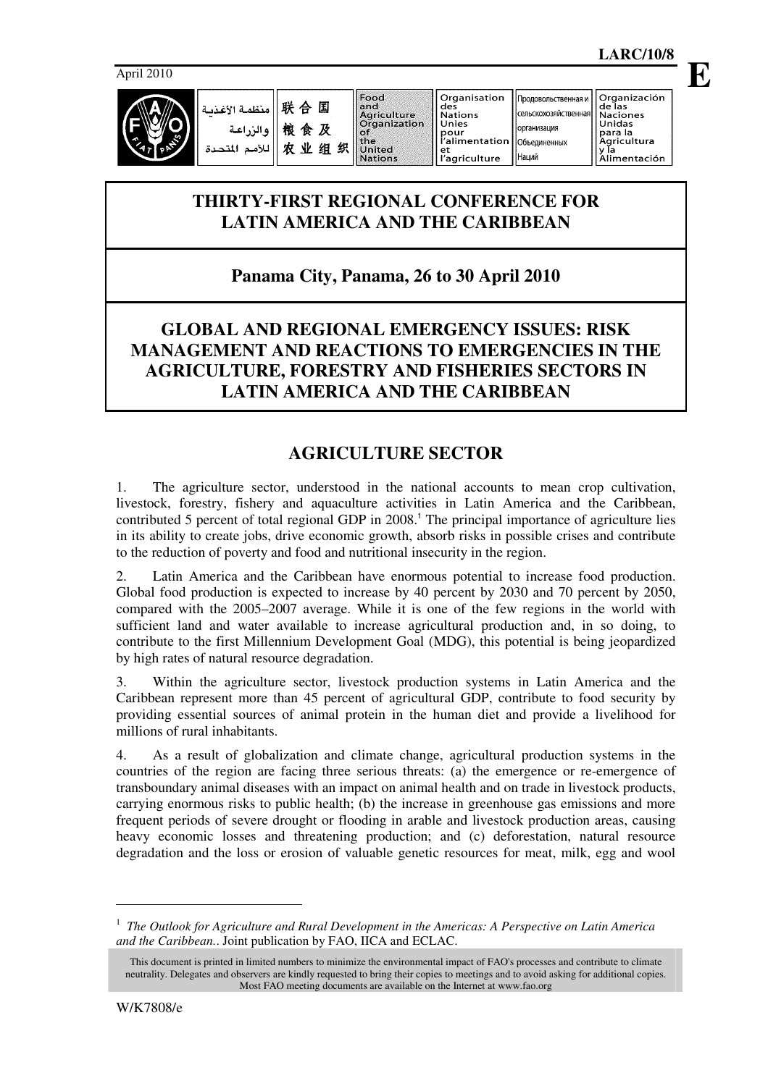

Food and Agriculture<br>Organization  $\sim f$ or<br>the<br>United **Nations** 

et

Organización<br>de las

ac ias<br>Naciones<br>Unidas

y Ĭa

para la<br>Agricultura

Alimentación

**E**

## **THIRTY-FIRST REGIONAL CONFERENCE FOR LATIN AMERICA AND THE CARIBBEAN**

# **Panama City, Panama, 26 to 30 April 2010**

## **GLOBAL AND REGIONAL EMERGENCY ISSUES: RISK MANAGEMENT AND REACTIONS TO EMERGENCIES IN THE AGRICULTURE, FORESTRY AND FISHERIES SECTORS IN LATIN AMERICA AND THE CARIBBEAN**

# **AGRICULTURE SECTOR**

1. The agriculture sector, understood in the national accounts to mean crop cultivation, livestock, forestry, fishery and aquaculture activities in Latin America and the Caribbean, contributed 5 percent of total regional GDP in 2008. 1 The principal importance of agriculture lies in its ability to create jobs, drive economic growth, absorb risks in possible crises and contribute to the reduction of poverty and food and nutritional insecurity in the region.

2. Latin America and the Caribbean have enormous potential to increase food production. Global food production is expected to increase by 40 percent by 2030 and 70 percent by 2050, compared with the 2005–2007 average. While it is one of the few regions in the world with sufficient land and water available to increase agricultural production and, in so doing, to contribute to the first Millennium Development Goal (MDG), this potential is being jeopardized by high rates of natural resource degradation.

3. Within the agriculture sector, livestock production systems in Latin America and the Caribbean represent more than 45 percent of agricultural GDP, contribute to food security by providing essential sources of animal protein in the human diet and provide a livelihood for millions of rural inhabitants.

4. As a result of globalization and climate change, agricultural production systems in the countries of the region are facing three serious threats: (a) the emergence or re-emergence of transboundary animal diseases with an impact on animal health and on trade in livestock products, carrying enormous risks to public health; (b) the increase in greenhouse gas emissions and more frequent periods of severe drought or flooding in arable and livestock production areas, causing heavy economic losses and threatening production; and (c) deforestation, natural resource degradation and the loss or erosion of valuable genetic resources for meat, milk, egg and wool

1

<sup>1</sup> *The Outlook for Agriculture and Rural Development in the Americas: A Perspective on Latin America and the Caribbean.*. Joint publication by FAO, IICA and ECLAC.

This document is printed in limited numbers to minimize the environmental impact of FAO's processes and contribute to climate neutrality. Delegates and observers are kindly requested to bring their copies to meetings and to avoid asking for additional copies. Most FAO meeting documents are available on the Internet at www.fao.org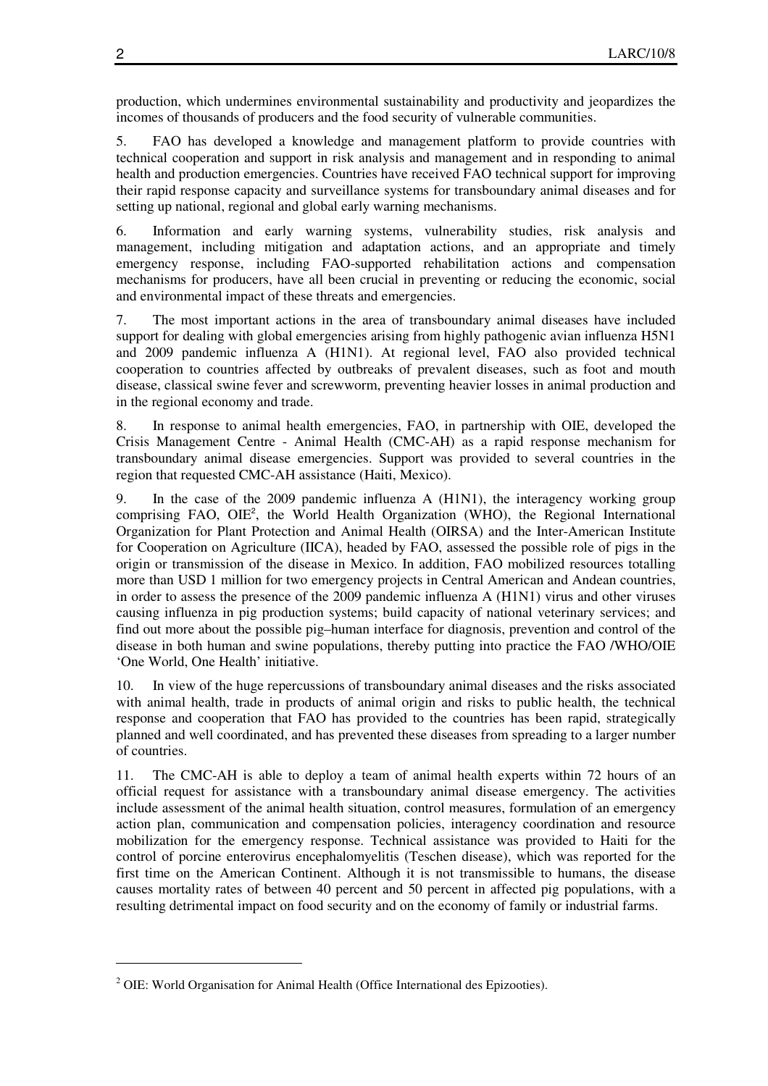production, which undermines environmental sustainability and productivity and jeopardizes the incomes of thousands of producers and the food security of vulnerable communities.

5. FAO has developed a knowledge and management platform to provide countries with technical cooperation and support in risk analysis and management and in responding to animal health and production emergencies. Countries have received FAO technical support for improving their rapid response capacity and surveillance systems for transboundary animal diseases and for setting up national, regional and global early warning mechanisms.

6. Information and early warning systems, vulnerability studies, risk analysis and management, including mitigation and adaptation actions, and an appropriate and timely emergency response, including FAO-supported rehabilitation actions and compensation mechanisms for producers, have all been crucial in preventing or reducing the economic, social and environmental impact of these threats and emergencies.

7. The most important actions in the area of transboundary animal diseases have included support for dealing with global emergencies arising from highly pathogenic avian influenza H5N1 and 2009 pandemic influenza A (H1N1). At regional level, FAO also provided technical cooperation to countries affected by outbreaks of prevalent diseases, such as foot and mouth disease, classical swine fever and screwworm, preventing heavier losses in animal production and in the regional economy and trade.

8. In response to animal health emergencies, FAO, in partnership with OIE, developed the Crisis Management Centre - Animal Health (CMC-AH) as a rapid response mechanism for transboundary animal disease emergencies. Support was provided to several countries in the region that requested CMC-AH assistance (Haiti, Mexico).

9. In the case of the 2009 pandemic influenza A (H1N1), the interagency working group comprising FAO, OIE<sup>2</sup>, the World Health Organization (WHO), the Regional International Organization for Plant Protection and Animal Health (OIRSA) and the Inter-American Institute for Cooperation on Agriculture (IICA), headed by FAO, assessed the possible role of pigs in the origin or transmission of the disease in Mexico. In addition, FAO mobilized resources totalling more than USD 1 million for two emergency projects in Central American and Andean countries, in order to assess the presence of the 2009 pandemic influenza A (H1N1) virus and other viruses causing influenza in pig production systems; build capacity of national veterinary services; and find out more about the possible pig–human interface for diagnosis, prevention and control of the disease in both human and swine populations, thereby putting into practice the FAO /WHO/OIE 'One World, One Health' initiative.

10. In view of the huge repercussions of transboundary animal diseases and the risks associated with animal health, trade in products of animal origin and risks to public health, the technical response and cooperation that FAO has provided to the countries has been rapid, strategically planned and well coordinated, and has prevented these diseases from spreading to a larger number of countries.

11. The CMC-AH is able to deploy a team of animal health experts within 72 hours of an official request for assistance with a transboundary animal disease emergency. The activities include assessment of the animal health situation, control measures, formulation of an emergency action plan, communication and compensation policies, interagency coordination and resource mobilization for the emergency response. Technical assistance was provided to Haiti for the control of porcine enterovirus encephalomyelitis (Teschen disease), which was reported for the first time on the American Continent. Although it is not transmissible to humans, the disease causes mortality rates of between 40 percent and 50 percent in affected pig populations, with a resulting detrimental impact on food security and on the economy of family or industrial farms.

 $\overline{a}$ 

 $2$  OIE: World Organisation for Animal Health (Office International des Epizooties).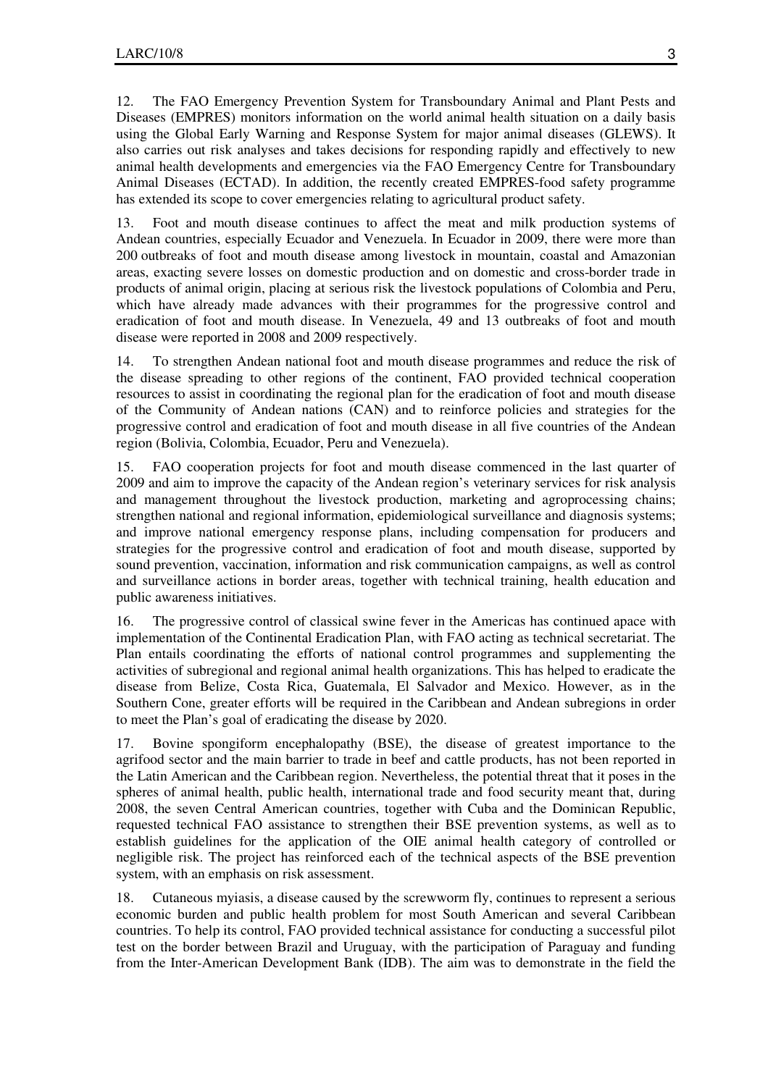12. The FAO Emergency Prevention System for Transboundary Animal and Plant Pests and Diseases (EMPRES) monitors information on the world animal health situation on a daily basis using the Global Early Warning and Response System for major animal diseases (GLEWS). It also carries out risk analyses and takes decisions for responding rapidly and effectively to new animal health developments and emergencies via the FAO Emergency Centre for Transboundary Animal Diseases (ECTAD). In addition, the recently created EMPRES-food safety programme has extended its scope to cover emergencies relating to agricultural product safety.

13. Foot and mouth disease continues to affect the meat and milk production systems of Andean countries, especially Ecuador and Venezuela. In Ecuador in 2009, there were more than 200 outbreaks of foot and mouth disease among livestock in mountain, coastal and Amazonian areas, exacting severe losses on domestic production and on domestic and cross-border trade in products of animal origin, placing at serious risk the livestock populations of Colombia and Peru, which have already made advances with their programmes for the progressive control and eradication of foot and mouth disease. In Venezuela, 49 and 13 outbreaks of foot and mouth disease were reported in 2008 and 2009 respectively.

14. To strengthen Andean national foot and mouth disease programmes and reduce the risk of the disease spreading to other regions of the continent, FAO provided technical cooperation resources to assist in coordinating the regional plan for the eradication of foot and mouth disease of the Community of Andean nations (CAN) and to reinforce policies and strategies for the progressive control and eradication of foot and mouth disease in all five countries of the Andean region (Bolivia, Colombia, Ecuador, Peru and Venezuela).

15. FAO cooperation projects for foot and mouth disease commenced in the last quarter of 2009 and aim to improve the capacity of the Andean region's veterinary services for risk analysis and management throughout the livestock production, marketing and agroprocessing chains; strengthen national and regional information, epidemiological surveillance and diagnosis systems; and improve national emergency response plans, including compensation for producers and strategies for the progressive control and eradication of foot and mouth disease, supported by sound prevention, vaccination, information and risk communication campaigns, as well as control and surveillance actions in border areas, together with technical training, health education and public awareness initiatives.

16. The progressive control of classical swine fever in the Americas has continued apace with implementation of the Continental Eradication Plan, with FAO acting as technical secretariat. The Plan entails coordinating the efforts of national control programmes and supplementing the activities of subregional and regional animal health organizations. This has helped to eradicate the disease from Belize, Costa Rica, Guatemala, El Salvador and Mexico. However, as in the Southern Cone, greater efforts will be required in the Caribbean and Andean subregions in order to meet the Plan's goal of eradicating the disease by 2020.

17. Bovine spongiform encephalopathy (BSE), the disease of greatest importance to the agrifood sector and the main barrier to trade in beef and cattle products, has not been reported in the Latin American and the Caribbean region. Nevertheless, the potential threat that it poses in the spheres of animal health, public health, international trade and food security meant that, during 2008, the seven Central American countries, together with Cuba and the Dominican Republic, requested technical FAO assistance to strengthen their BSE prevention systems, as well as to establish guidelines for the application of the OIE animal health category of controlled or negligible risk. The project has reinforced each of the technical aspects of the BSE prevention system, with an emphasis on risk assessment.

18. Cutaneous myiasis, a disease caused by the screwworm fly, continues to represent a serious economic burden and public health problem for most South American and several Caribbean countries. To help its control, FAO provided technical assistance for conducting a successful pilot test on the border between Brazil and Uruguay, with the participation of Paraguay and funding from the Inter-American Development Bank (IDB). The aim was to demonstrate in the field the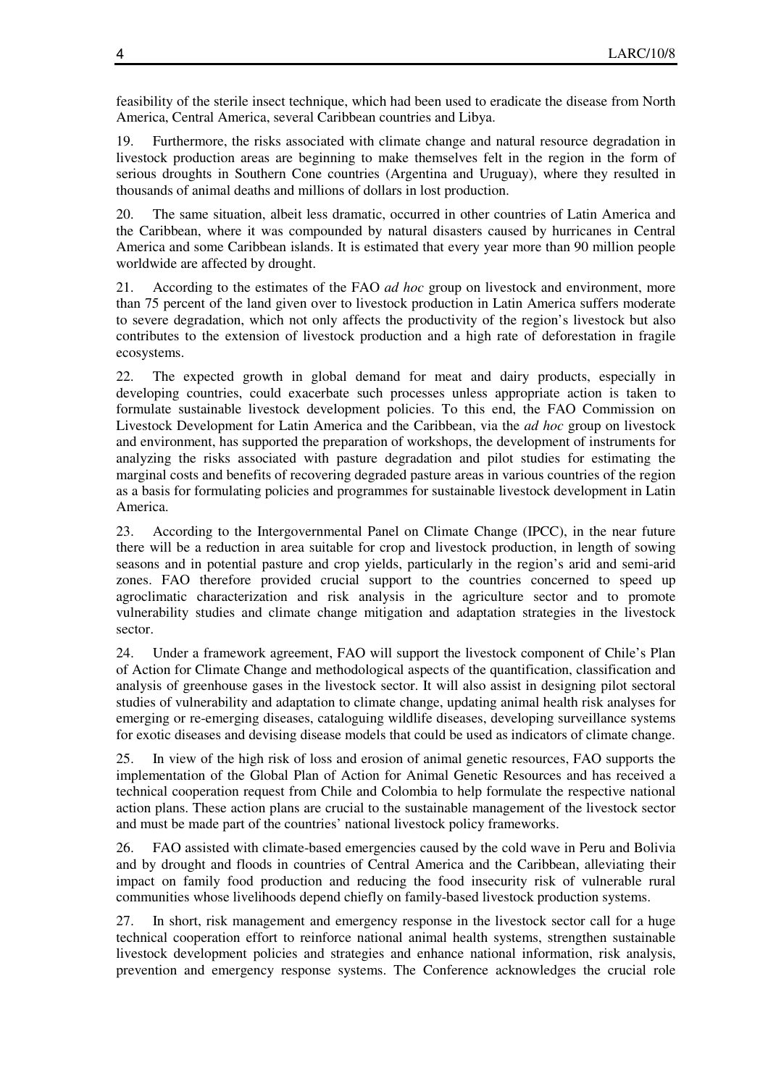feasibility of the sterile insect technique, which had been used to eradicate the disease from North America, Central America, several Caribbean countries and Libya.

19. Furthermore, the risks associated with climate change and natural resource degradation in livestock production areas are beginning to make themselves felt in the region in the form of serious droughts in Southern Cone countries (Argentina and Uruguay), where they resulted in thousands of animal deaths and millions of dollars in lost production.

20. The same situation, albeit less dramatic, occurred in other countries of Latin America and the Caribbean, where it was compounded by natural disasters caused by hurricanes in Central America and some Caribbean islands. It is estimated that every year more than 90 million people worldwide are affected by drought.

21. According to the estimates of the FAO *ad hoc* group on livestock and environment, more than 75 percent of the land given over to livestock production in Latin America suffers moderate to severe degradation, which not only affects the productivity of the region's livestock but also contributes to the extension of livestock production and a high rate of deforestation in fragile ecosystems.

22. The expected growth in global demand for meat and dairy products, especially in developing countries, could exacerbate such processes unless appropriate action is taken to formulate sustainable livestock development policies. To this end, the FAO Commission on Livestock Development for Latin America and the Caribbean, via the *ad hoc* group on livestock and environment, has supported the preparation of workshops, the development of instruments for analyzing the risks associated with pasture degradation and pilot studies for estimating the marginal costs and benefits of recovering degraded pasture areas in various countries of the region as a basis for formulating policies and programmes for sustainable livestock development in Latin America.

23. According to the Intergovernmental Panel on Climate Change (IPCC), in the near future there will be a reduction in area suitable for crop and livestock production, in length of sowing seasons and in potential pasture and crop yields, particularly in the region's arid and semi-arid zones. FAO therefore provided crucial support to the countries concerned to speed up agroclimatic characterization and risk analysis in the agriculture sector and to promote vulnerability studies and climate change mitigation and adaptation strategies in the livestock sector.

24. Under a framework agreement, FAO will support the livestock component of Chile's Plan of Action for Climate Change and methodological aspects of the quantification, classification and analysis of greenhouse gases in the livestock sector. It will also assist in designing pilot sectoral studies of vulnerability and adaptation to climate change, updating animal health risk analyses for emerging or re-emerging diseases, cataloguing wildlife diseases, developing surveillance systems for exotic diseases and devising disease models that could be used as indicators of climate change.

25. In view of the high risk of loss and erosion of animal genetic resources, FAO supports the implementation of the Global Plan of Action for Animal Genetic Resources and has received a technical cooperation request from Chile and Colombia to help formulate the respective national action plans. These action plans are crucial to the sustainable management of the livestock sector and must be made part of the countries' national livestock policy frameworks.

26. FAO assisted with climate-based emergencies caused by the cold wave in Peru and Bolivia and by drought and floods in countries of Central America and the Caribbean, alleviating their impact on family food production and reducing the food insecurity risk of vulnerable rural communities whose livelihoods depend chiefly on family-based livestock production systems.

27. In short, risk management and emergency response in the livestock sector call for a huge technical cooperation effort to reinforce national animal health systems, strengthen sustainable livestock development policies and strategies and enhance national information, risk analysis, prevention and emergency response systems. The Conference acknowledges the crucial role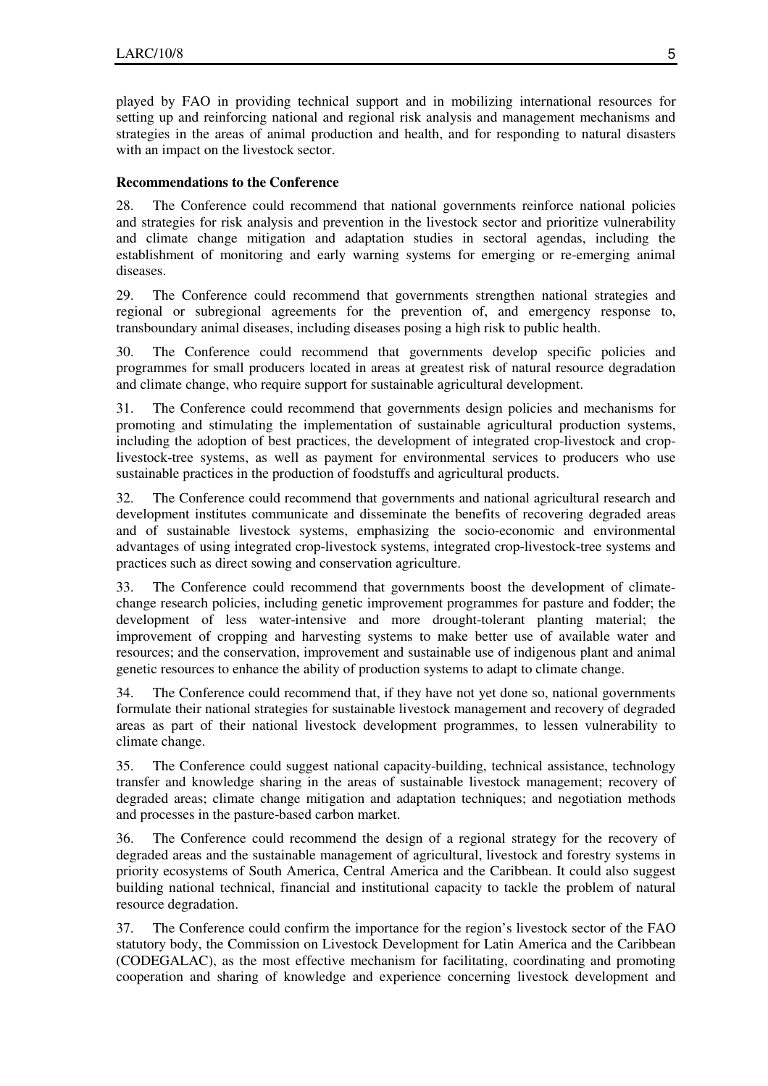played by FAO in providing technical support and in mobilizing international resources for setting up and reinforcing national and regional risk analysis and management mechanisms and strategies in the areas of animal production and health, and for responding to natural disasters with an impact on the livestock sector.

#### **Recommendations to the Conference**

28. The Conference could recommend that national governments reinforce national policies and strategies for risk analysis and prevention in the livestock sector and prioritize vulnerability and climate change mitigation and adaptation studies in sectoral agendas, including the establishment of monitoring and early warning systems for emerging or re-emerging animal diseases.

29. The Conference could recommend that governments strengthen national strategies and regional or subregional agreements for the prevention of, and emergency response to, transboundary animal diseases, including diseases posing a high risk to public health.

30. The Conference could recommend that governments develop specific policies and programmes for small producers located in areas at greatest risk of natural resource degradation and climate change, who require support for sustainable agricultural development.

31. The Conference could recommend that governments design policies and mechanisms for promoting and stimulating the implementation of sustainable agricultural production systems, including the adoption of best practices, the development of integrated crop-livestock and croplivestock-tree systems, as well as payment for environmental services to producers who use sustainable practices in the production of foodstuffs and agricultural products.

32. The Conference could recommend that governments and national agricultural research and development institutes communicate and disseminate the benefits of recovering degraded areas and of sustainable livestock systems, emphasizing the socio-economic and environmental advantages of using integrated crop-livestock systems, integrated crop-livestock-tree systems and practices such as direct sowing and conservation agriculture.

33. The Conference could recommend that governments boost the development of climatechange research policies, including genetic improvement programmes for pasture and fodder; the development of less water-intensive and more drought-tolerant planting material; the improvement of cropping and harvesting systems to make better use of available water and resources; and the conservation, improvement and sustainable use of indigenous plant and animal genetic resources to enhance the ability of production systems to adapt to climate change.

34. The Conference could recommend that, if they have not yet done so, national governments formulate their national strategies for sustainable livestock management and recovery of degraded areas as part of their national livestock development programmes, to lessen vulnerability to climate change.

35. The Conference could suggest national capacity-building, technical assistance, technology transfer and knowledge sharing in the areas of sustainable livestock management; recovery of degraded areas; climate change mitigation and adaptation techniques; and negotiation methods and processes in the pasture-based carbon market.

36. The Conference could recommend the design of a regional strategy for the recovery of degraded areas and the sustainable management of agricultural, livestock and forestry systems in priority ecosystems of South America, Central America and the Caribbean. It could also suggest building national technical, financial and institutional capacity to tackle the problem of natural resource degradation.

37. The Conference could confirm the importance for the region's livestock sector of the FAO statutory body, the Commission on Livestock Development for Latin America and the Caribbean (CODEGALAC), as the most effective mechanism for facilitating, coordinating and promoting cooperation and sharing of knowledge and experience concerning livestock development and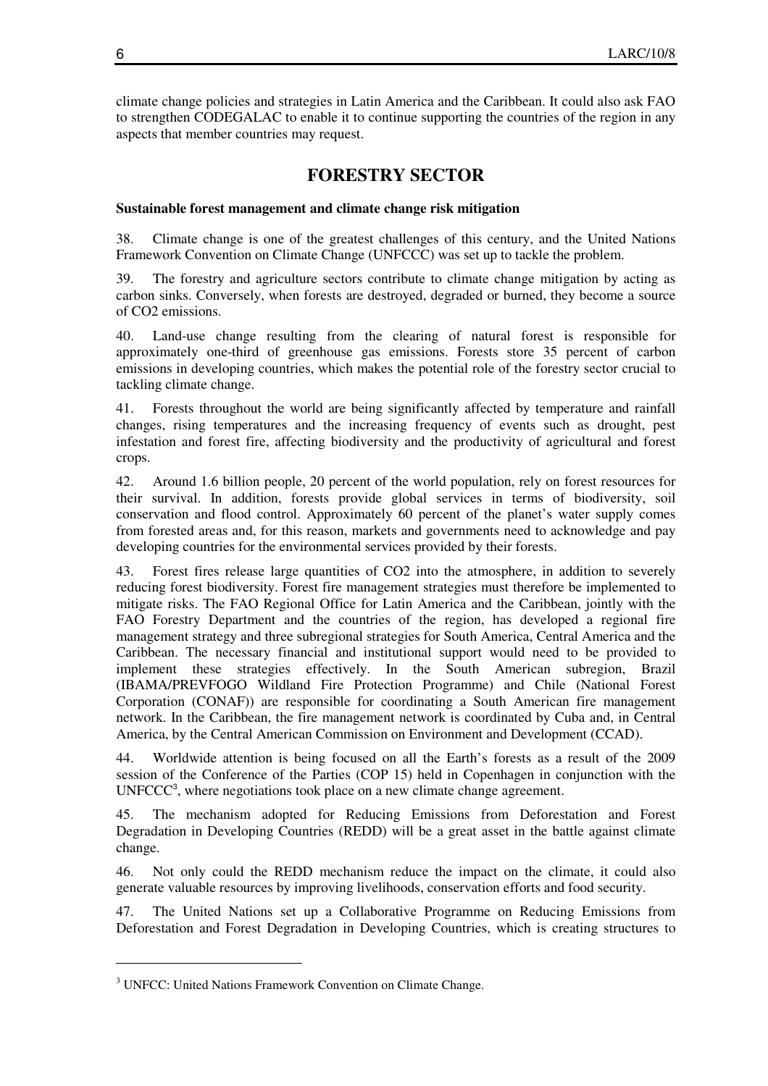climate change policies and strategies in Latin America and the Caribbean. It could also ask FAO to strengthen CODEGALAC to enable it to continue supporting the countries of the region in any aspects that member countries may request.

### **FORESTRY SECTOR**

#### **Sustainable forest management and climate change risk mitigation**

38. Climate change is one of the greatest challenges of this century, and the United Nations Framework Convention on Climate Change (UNFCCC) was set up to tackle the problem.

The forestry and agriculture sectors contribute to climate change mitigation by acting as carbon sinks. Conversely, when forests are destroyed, degraded or burned, they become a source of CO2 emissions.

40. Land-use change resulting from the clearing of natural forest is responsible for approximately one-third of greenhouse gas emissions. Forests store 35 percent of carbon emissions in developing countries, which makes the potential role of the forestry sector crucial to tackling climate change.

41. Forests throughout the world are being significantly affected by temperature and rainfall changes, rising temperatures and the increasing frequency of events such as drought, pest infestation and forest fire, affecting biodiversity and the productivity of agricultural and forest crops.

42. Around 1.6 billion people, 20 percent of the world population, rely on forest resources for their survival. In addition, forests provide global services in terms of biodiversity, soil conservation and flood control. Approximately 60 percent of the planet's water supply comes from forested areas and, for this reason, markets and governments need to acknowledge and pay developing countries for the environmental services provided by their forests.

43. Forest fires release large quantities of CO2 into the atmosphere, in addition to severely reducing forest biodiversity. Forest fire management strategies must therefore be implemented to mitigate risks. The FAO Regional Office for Latin America and the Caribbean, jointly with the FAO Forestry Department and the countries of the region, has developed a regional fire management strategy and three subregional strategies for South America, Central America and the Caribbean. The necessary financial and institutional support would need to be provided to implement these strategies effectively. In the South American subregion, Brazil (IBAMA/PREVFOGO Wildland Fire Protection Programme) and Chile (National Forest Corporation (CONAF)) are responsible for coordinating a South American fire management network. In the Caribbean, the fire management network is coordinated by Cuba and, in Central America, by the Central American Commission on Environment and Development (CCAD).

44. Worldwide attention is being focused on all the Earth's forests as a result of the 2009 session of the Conference of the Parties (COP 15) held in Copenhagen in conjunction with the UNFCCC<sup>3</sup>, where negotiations took place on a new climate change agreement.

45. The mechanism adopted for Reducing Emissions from Deforestation and Forest Degradation in Developing Countries (REDD) will be a great asset in the battle against climate change.

46. Not only could the REDD mechanism reduce the impact on the climate, it could also generate valuable resources by improving livelihoods, conservation efforts and food security.

47. The United Nations set up a Collaborative Programme on Reducing Emissions from Deforestation and Forest Degradation in Developing Countries, which is creating structures to

 $\overline{a}$ 

<sup>&</sup>lt;sup>3</sup> UNFCC: United Nations Framework Convention on Climate Change.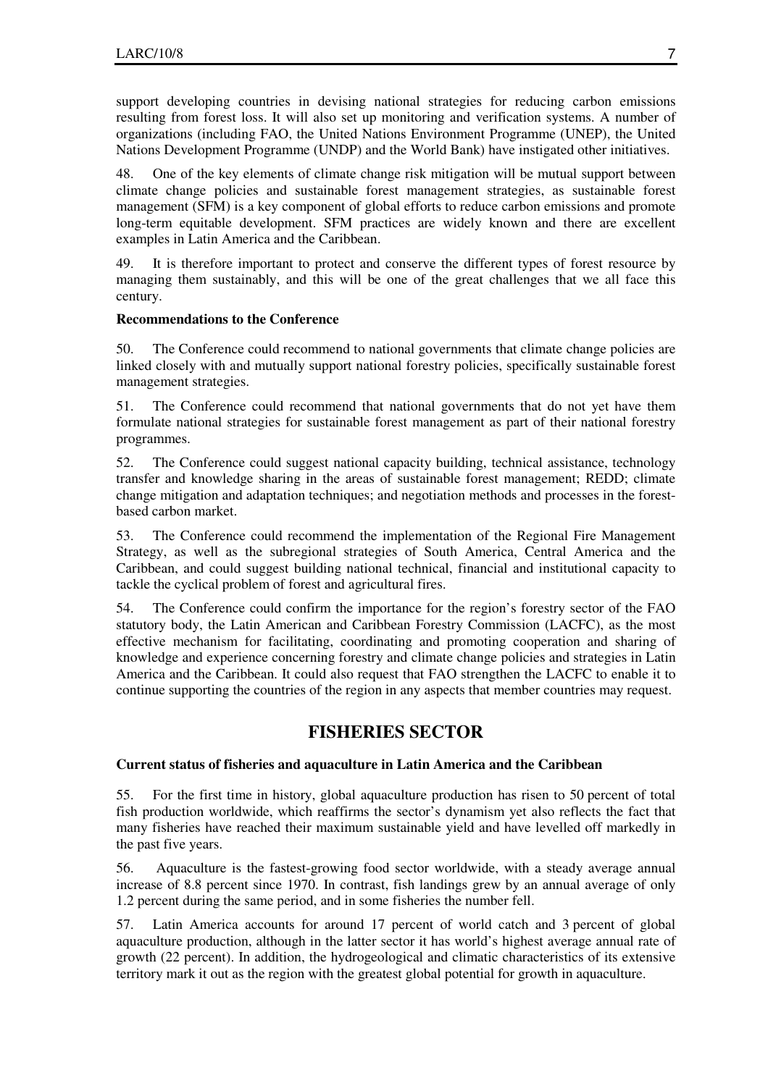support developing countries in devising national strategies for reducing carbon emissions resulting from forest loss. It will also set up monitoring and verification systems. A number of organizations (including FAO, the United Nations Environment Programme (UNEP), the United Nations Development Programme (UNDP) and the World Bank) have instigated other initiatives.

48. One of the key elements of climate change risk mitigation will be mutual support between climate change policies and sustainable forest management strategies, as sustainable forest management (SFM) is a key component of global efforts to reduce carbon emissions and promote long-term equitable development. SFM practices are widely known and there are excellent examples in Latin America and the Caribbean.

49. It is therefore important to protect and conserve the different types of forest resource by managing them sustainably, and this will be one of the great challenges that we all face this century.

#### **Recommendations to the Conference**

50. The Conference could recommend to national governments that climate change policies are linked closely with and mutually support national forestry policies, specifically sustainable forest management strategies.

51. The Conference could recommend that national governments that do not yet have them formulate national strategies for sustainable forest management as part of their national forestry programmes.

52. The Conference could suggest national capacity building, technical assistance, technology transfer and knowledge sharing in the areas of sustainable forest management; REDD; climate change mitigation and adaptation techniques; and negotiation methods and processes in the forestbased carbon market.

53. The Conference could recommend the implementation of the Regional Fire Management Strategy, as well as the subregional strategies of South America, Central America and the Caribbean, and could suggest building national technical, financial and institutional capacity to tackle the cyclical problem of forest and agricultural fires.

54. The Conference could confirm the importance for the region's forestry sector of the FAO statutory body, the Latin American and Caribbean Forestry Commission (LACFC), as the most effective mechanism for facilitating, coordinating and promoting cooperation and sharing of knowledge and experience concerning forestry and climate change policies and strategies in Latin America and the Caribbean. It could also request that FAO strengthen the LACFC to enable it to continue supporting the countries of the region in any aspects that member countries may request.

### **FISHERIES SECTOR**

#### **Current status of fisheries and aquaculture in Latin America and the Caribbean**

55. For the first time in history, global aquaculture production has risen to 50 percent of total fish production worldwide, which reaffirms the sector's dynamism yet also reflects the fact that many fisheries have reached their maximum sustainable yield and have levelled off markedly in the past five years.

56. Aquaculture is the fastest-growing food sector worldwide, with a steady average annual increase of 8.8 percent since 1970. In contrast, fish landings grew by an annual average of only 1.2 percent during the same period, and in some fisheries the number fell.

57. Latin America accounts for around 17 percent of world catch and 3 percent of global aquaculture production, although in the latter sector it has world's highest average annual rate of growth (22 percent). In addition, the hydrogeological and climatic characteristics of its extensive territory mark it out as the region with the greatest global potential for growth in aquaculture.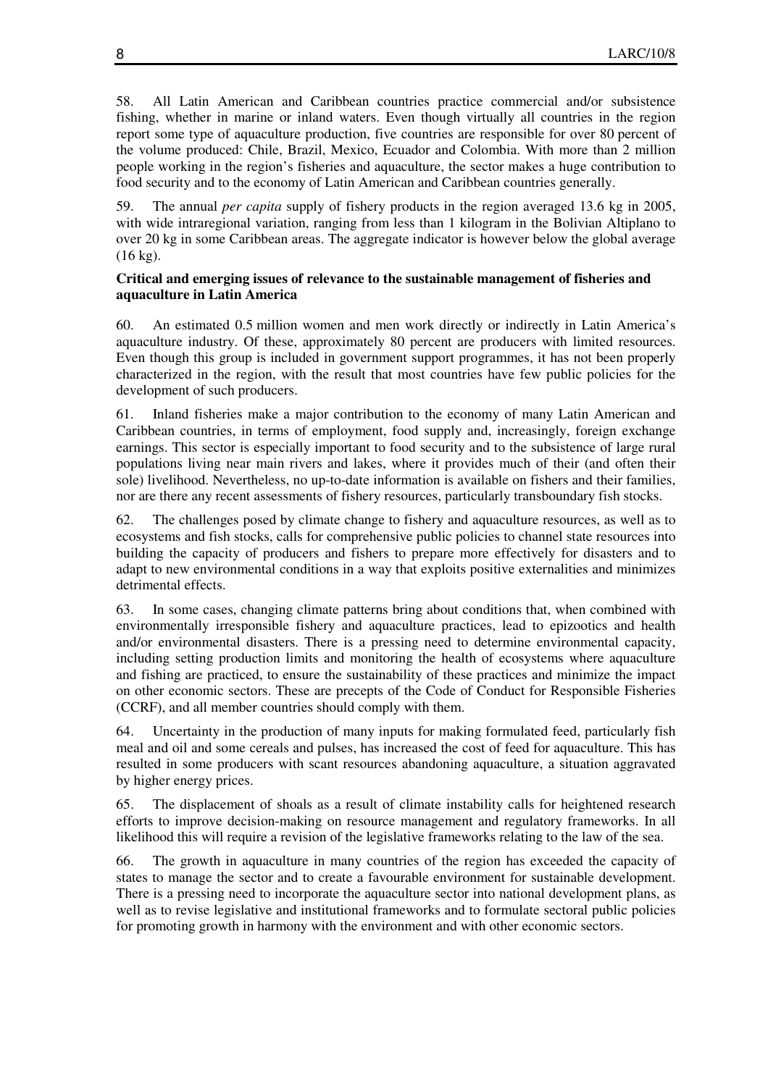58. All Latin American and Caribbean countries practice commercial and/or subsistence fishing, whether in marine or inland waters. Even though virtually all countries in the region report some type of aquaculture production, five countries are responsible for over 80 percent of the volume produced: Chile, Brazil, Mexico, Ecuador and Colombia. With more than 2 million people working in the region's fisheries and aquaculture, the sector makes a huge contribution to food security and to the economy of Latin American and Caribbean countries generally.

59. The annual *per capita* supply of fishery products in the region averaged 13.6 kg in 2005, with wide intraregional variation, ranging from less than 1 kilogram in the Bolivian Altiplano to over 20 kg in some Caribbean areas. The aggregate indicator is however below the global average (16 kg).

#### **Critical and emerging issues of relevance to the sustainable management of fisheries and aquaculture in Latin America**

60. An estimated 0.5 million women and men work directly or indirectly in Latin America's aquaculture industry. Of these, approximately 80 percent are producers with limited resources. Even though this group is included in government support programmes, it has not been properly characterized in the region, with the result that most countries have few public policies for the development of such producers.

61. Inland fisheries make a major contribution to the economy of many Latin American and Caribbean countries, in terms of employment, food supply and, increasingly, foreign exchange earnings. This sector is especially important to food security and to the subsistence of large rural populations living near main rivers and lakes, where it provides much of their (and often their sole) livelihood. Nevertheless, no up-to-date information is available on fishers and their families, nor are there any recent assessments of fishery resources, particularly transboundary fish stocks.

62. The challenges posed by climate change to fishery and aquaculture resources, as well as to ecosystems and fish stocks, calls for comprehensive public policies to channel state resources into building the capacity of producers and fishers to prepare more effectively for disasters and to adapt to new environmental conditions in a way that exploits positive externalities and minimizes detrimental effects.

63. In some cases, changing climate patterns bring about conditions that, when combined with environmentally irresponsible fishery and aquaculture practices, lead to epizootics and health and/or environmental disasters. There is a pressing need to determine environmental capacity, including setting production limits and monitoring the health of ecosystems where aquaculture and fishing are practiced, to ensure the sustainability of these practices and minimize the impact on other economic sectors. These are precepts of the Code of Conduct for Responsible Fisheries (CCRF), and all member countries should comply with them.

64. Uncertainty in the production of many inputs for making formulated feed, particularly fish meal and oil and some cereals and pulses, has increased the cost of feed for aquaculture. This has resulted in some producers with scant resources abandoning aquaculture, a situation aggravated by higher energy prices.

65. The displacement of shoals as a result of climate instability calls for heightened research efforts to improve decision-making on resource management and regulatory frameworks. In all likelihood this will require a revision of the legislative frameworks relating to the law of the sea.

66. The growth in aquaculture in many countries of the region has exceeded the capacity of states to manage the sector and to create a favourable environment for sustainable development. There is a pressing need to incorporate the aquaculture sector into national development plans, as well as to revise legislative and institutional frameworks and to formulate sectoral public policies for promoting growth in harmony with the environment and with other economic sectors.